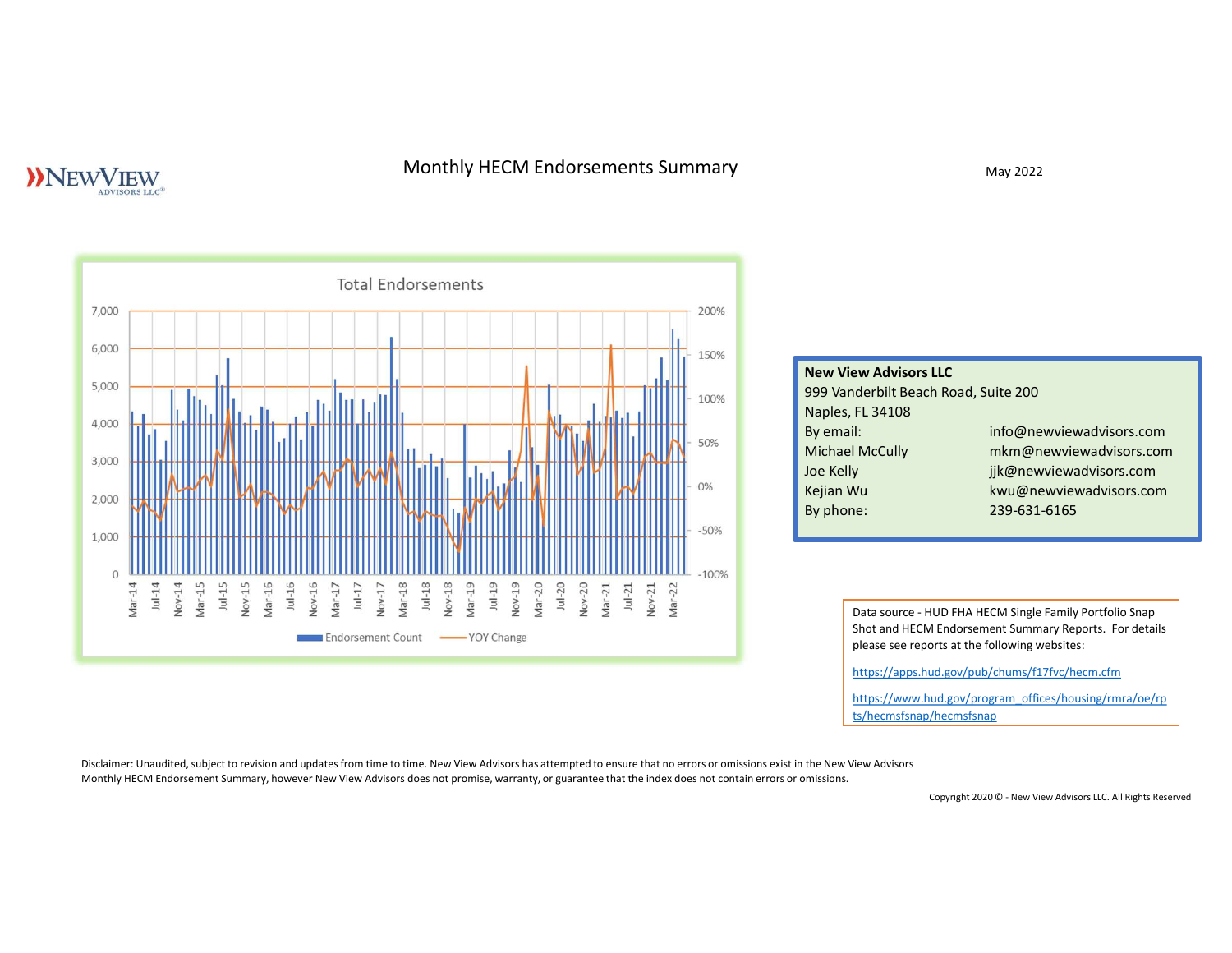# **NEWVIEW**

# Monthly HECM Endorsements Summary May 2022

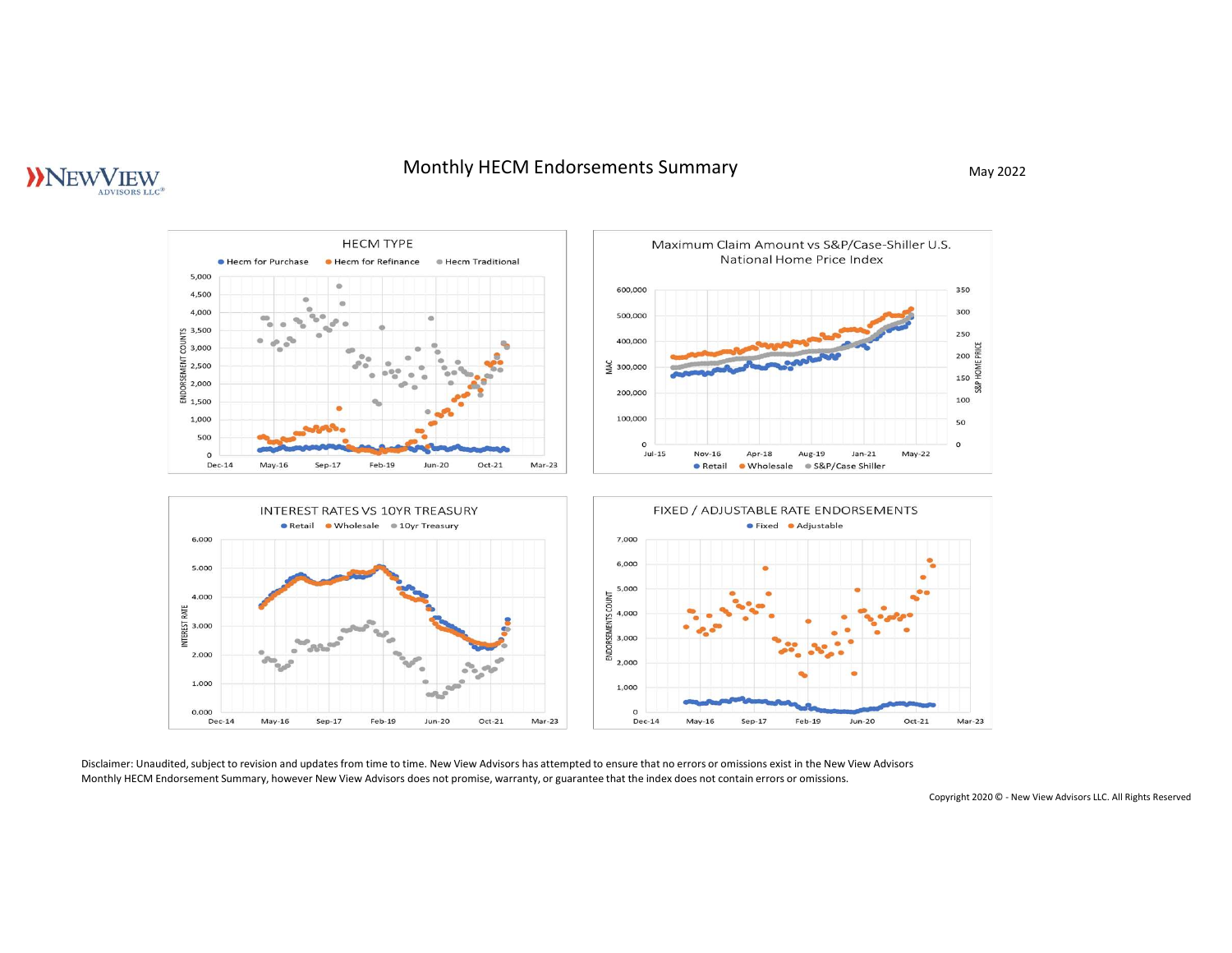# Monthly HECM Endorsements Summary May 2022

# **NNEWVIEW**

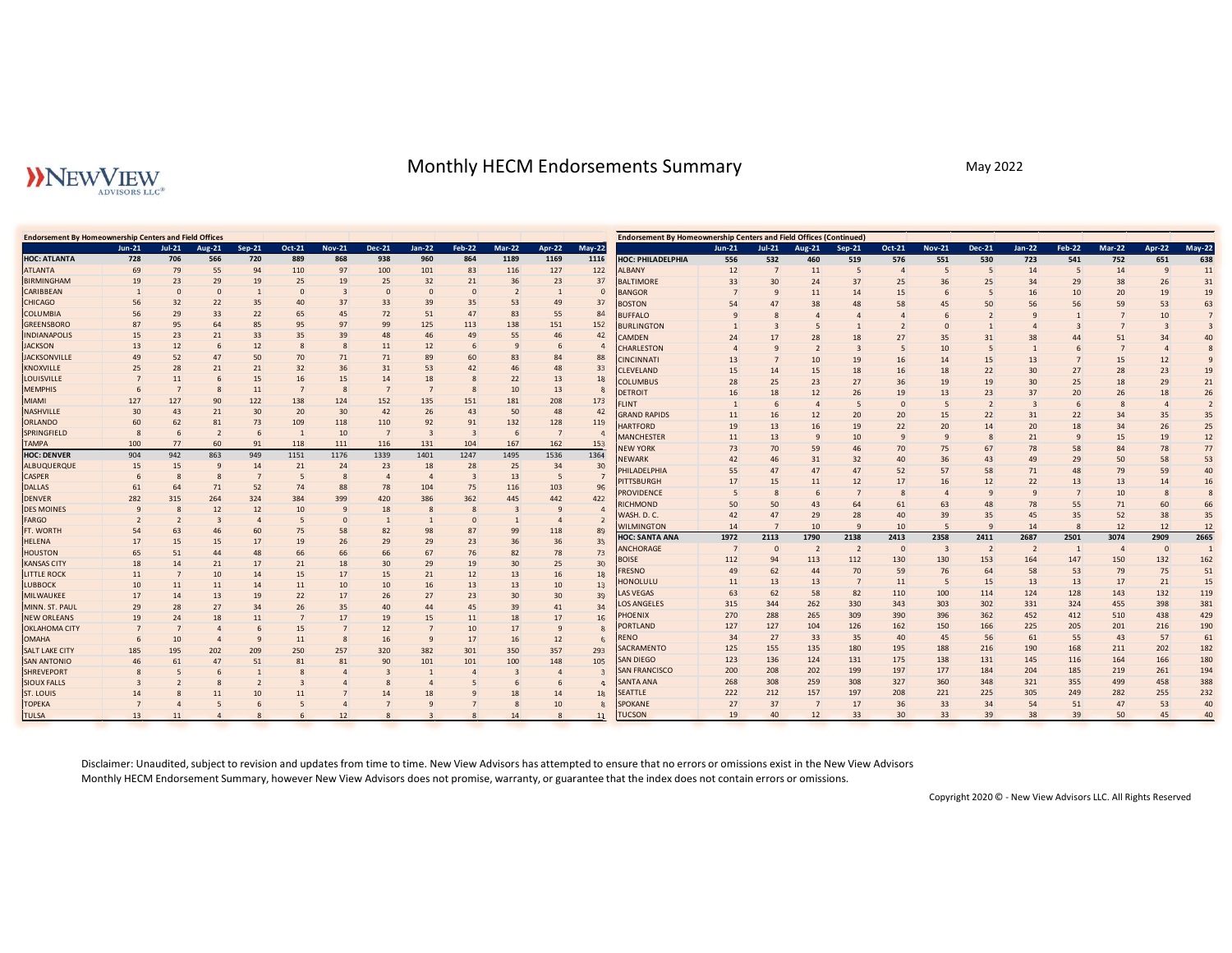# Monthly HECM Endorsements Summary May 2022 May 2022

|                                                                                                                                                                                                                                                                                                                                                                                                                                                                                                                                                                                                                                                                                                                                                                                                                                                                                                                                                                                                                                                                                                                                                                                     |                                                                                                                                                                                                                                                                                                                                                                                                                                                                                                                                                                                          |                                                                                                                                                                                                                                                                                                                                                                                                                                                                                                                                                      |                                                                                                                                                                                                                                                                                              |                                                                                                                                                                                                                                                                                                                                        |                                                                                                                                                                                                                                                                                                               |                                                                                                                                                                                                                                                                                                               |                                                                                                                                                                                                                                                                                          |                                                                                                                                                                                                                                                                                                                                                                                                                                                                                                                     | Monthly HECM Endorsements Summary                                                                                                                                                                                                                                                                                                                                                                                                                                                                                                                                                                                                                                                                                                                                                                                                                                               |                                                                                                                                                                                                                                                                                  |                                                                                                                                                                                                                                 |                                                                                                                                                                                                                                                                                                       |                                                                                                                                                                                                                                      |                                                                                                                                                                                                                                                    |                                                                                                                                                                                                                                    | May 2022                                                                                                                                                                                                                          |                                                                                                                                                                                                                                                         |                                                                                                                                                                                                                          |                                                                                                                                                                                                                                                                                                                                                                                                                                                                                                        |                                                                                                                                                                                                                                                                                                                                          |
|-------------------------------------------------------------------------------------------------------------------------------------------------------------------------------------------------------------------------------------------------------------------------------------------------------------------------------------------------------------------------------------------------------------------------------------------------------------------------------------------------------------------------------------------------------------------------------------------------------------------------------------------------------------------------------------------------------------------------------------------------------------------------------------------------------------------------------------------------------------------------------------------------------------------------------------------------------------------------------------------------------------------------------------------------------------------------------------------------------------------------------------------------------------------------------------|------------------------------------------------------------------------------------------------------------------------------------------------------------------------------------------------------------------------------------------------------------------------------------------------------------------------------------------------------------------------------------------------------------------------------------------------------------------------------------------------------------------------------------------------------------------------------------------|------------------------------------------------------------------------------------------------------------------------------------------------------------------------------------------------------------------------------------------------------------------------------------------------------------------------------------------------------------------------------------------------------------------------------------------------------------------------------------------------------------------------------------------------------|----------------------------------------------------------------------------------------------------------------------------------------------------------------------------------------------------------------------------------------------------------------------------------------------|----------------------------------------------------------------------------------------------------------------------------------------------------------------------------------------------------------------------------------------------------------------------------------------------------------------------------------------|---------------------------------------------------------------------------------------------------------------------------------------------------------------------------------------------------------------------------------------------------------------------------------------------------------------|---------------------------------------------------------------------------------------------------------------------------------------------------------------------------------------------------------------------------------------------------------------------------------------------------------------|------------------------------------------------------------------------------------------------------------------------------------------------------------------------------------------------------------------------------------------------------------------------------------------|---------------------------------------------------------------------------------------------------------------------------------------------------------------------------------------------------------------------------------------------------------------------------------------------------------------------------------------------------------------------------------------------------------------------------------------------------------------------------------------------------------------------|---------------------------------------------------------------------------------------------------------------------------------------------------------------------------------------------------------------------------------------------------------------------------------------------------------------------------------------------------------------------------------------------------------------------------------------------------------------------------------------------------------------------------------------------------------------------------------------------------------------------------------------------------------------------------------------------------------------------------------------------------------------------------------------------------------------------------------------------------------------------------------|----------------------------------------------------------------------------------------------------------------------------------------------------------------------------------------------------------------------------------------------------------------------------------|---------------------------------------------------------------------------------------------------------------------------------------------------------------------------------------------------------------------------------|-------------------------------------------------------------------------------------------------------------------------------------------------------------------------------------------------------------------------------------------------------------------------------------------------------|--------------------------------------------------------------------------------------------------------------------------------------------------------------------------------------------------------------------------------------|----------------------------------------------------------------------------------------------------------------------------------------------------------------------------------------------------------------------------------------------------|------------------------------------------------------------------------------------------------------------------------------------------------------------------------------------------------------------------------------------|-----------------------------------------------------------------------------------------------------------------------------------------------------------------------------------------------------------------------------------|---------------------------------------------------------------------------------------------------------------------------------------------------------------------------------------------------------------------------------------------------------|--------------------------------------------------------------------------------------------------------------------------------------------------------------------------------------------------------------------------|--------------------------------------------------------------------------------------------------------------------------------------------------------------------------------------------------------------------------------------------------------------------------------------------------------------------------------------------------------------------------------------------------------------------------------------------------------------------------------------------------------|------------------------------------------------------------------------------------------------------------------------------------------------------------------------------------------------------------------------------------------------------------------------------------------------------------------------------------------|
| <b>&gt;&gt;NEWVIEW</b><br>ADVISORS LLC®                                                                                                                                                                                                                                                                                                                                                                                                                                                                                                                                                                                                                                                                                                                                                                                                                                                                                                                                                                                                                                                                                                                                             |                                                                                                                                                                                                                                                                                                                                                                                                                                                                                                                                                                                          |                                                                                                                                                                                                                                                                                                                                                                                                                                                                                                                                                      |                                                                                                                                                                                                                                                                                              |                                                                                                                                                                                                                                                                                                                                        |                                                                                                                                                                                                                                                                                                               |                                                                                                                                                                                                                                                                                                               |                                                                                                                                                                                                                                                                                          |                                                                                                                                                                                                                                                                                                                                                                                                                                                                                                                     |                                                                                                                                                                                                                                                                                                                                                                                                                                                                                                                                                                                                                                                                                                                                                                                                                                                                                 |                                                                                                                                                                                                                                                                                  |                                                                                                                                                                                                                                 |                                                                                                                                                                                                                                                                                                       |                                                                                                                                                                                                                                      |                                                                                                                                                                                                                                                    |                                                                                                                                                                                                                                    |                                                                                                                                                                                                                                   |                                                                                                                                                                                                                                                         |                                                                                                                                                                                                                          |                                                                                                                                                                                                                                                                                                                                                                                                                                                                                                        |                                                                                                                                                                                                                                                                                                                                          |
| <b>Endorsement By Homeownership Centers and Field Offices</b><br>$Jun-21$<br>$Jul-21$<br><b>HOC: ATLANTA</b><br>728<br><b>ATLANTA</b><br>69<br><b>BIRMINGHAM</b><br>19<br>CARIBBEAN<br>CHICAGO<br>56<br><b>COLUMBIA</b><br>56<br><b>GREENSBORO</b><br>87<br><b>INDIANAPOLIS</b><br>15<br><b>JACKSON</b><br>13<br>49<br><b>JACKSONVILLE</b><br>25<br>KNOXVILLE<br>LOUISVILLE<br>$\overline{7}$<br><b>MEMPHIS</b><br>6<br>MIAMI<br>127<br>NASHVILLE<br>30<br><b>ORLANDO</b><br>60<br>SPRINGFIELD<br>8<br>TAMPA<br>100<br><b>HOC: DENVER</b><br>904<br>ALBUQUERQUE<br>15<br>CASPER<br>6<br><b>DALLAS</b><br>61<br><b>DENVER</b><br>282<br><b>DES MOINES</b><br>$\mathbf{q}$<br>FARGO<br>$\overline{2}$<br>FT. WORTH<br>54<br>HELENA<br>17<br><b>HOUSTON</b><br>65<br><b>KANSAS CITY</b><br>18<br><b>LITTLE ROCK</b><br>11<br>LUBBOCK<br>10<br>MILWAUKEE<br>17<br>MINN. ST. PAUL<br>29<br><b>NEW ORLEANS</b><br>19<br><b>OKLAHOMA CITY</b><br>7<br><b>OMAHA</b><br>6<br><b>SALT LAKE CITY</b><br>185<br>SAN ANTONIO<br>46<br><b>SHREVEPORT</b><br>8<br><b>SIOUX FALLS</b><br>$\overline{\mathbf{3}}$<br><b>ST. LOUIS</b><br>14<br><b>TOPEKA</b><br>$\overline{7}$<br><b>TULSA</b><br>13 | <b>Aug-21</b><br>706<br>566<br>55<br>79<br>29<br>23<br>$\mathbf{0}$<br>$\overline{0}$<br>22<br>32<br>29<br>33<br>95<br>64<br>21<br>23<br>12<br>52<br>47<br>28<br>21<br>11<br>127<br>90<br>43<br>21<br>62<br>81<br>-6<br>$\overline{2}$<br>77<br>60<br>942<br>863<br>15<br>$\mathbf{q}$<br>-8<br>64<br>71<br>264<br>315<br>12<br>63<br>46<br>15<br>15<br>51<br>21<br>14<br>10<br>11<br>11<br>13<br>14<br>27<br>28<br>24<br>18<br>$\overline{a}$<br>10<br>$\overline{4}$<br>195<br>202<br>47<br>61<br>-5<br>$\overline{2}$<br>-8<br>11<br>8<br>5<br>$\overline{4}$<br>11<br>$\overline{4}$ | Oct-21<br>Sep-21<br>720<br>889<br>94<br>110<br>19<br>25<br>$\mathbf{0}$<br>35<br>22<br>85<br>33<br>12<br>8<br>50<br>70<br>21<br>32<br>15<br>16<br>11<br>122<br>138<br>30<br>20<br>73<br>109<br>91<br>118<br>949<br>1151<br>14<br>21<br>5<br>52<br>74<br>324<br>384<br>12<br>$\overline{4}$<br>60<br>75<br>17<br>19<br>17<br>14<br>15<br>14<br>11<br>19<br>22<br>34<br>26<br>11<br>$\overline{7}$<br>15<br>6<br>11<br>9<br>209<br>250<br>51<br>81<br>$\overline{1}$<br>8<br>$\overline{2}$<br>$\overline{\mathbf{3}}$<br>10<br>11<br>6<br>5<br>8<br>6 | <b>Nov-21</b><br>868<br>97<br>19<br>37<br>45<br>97<br>39<br>71<br>36<br>15<br>124<br>30<br>118<br>10<br>111<br>1176<br>24<br>-8<br>88<br>399<br>58<br>26<br>18<br>17<br>10<br>17<br>35<br>17<br>$\overline{7}$<br>8<br>257<br>81<br>$\overline{4}$<br>$\overline{4}$<br>$\overline{4}$<br>12 | <b>Dec-21</b><br>938<br>100<br>25<br>$\overline{0}$<br>33<br>72<br>99<br>48<br>11<br>71<br>31<br>14<br>$\overline{7}$<br>152<br>42<br>110<br>$\overline{7}$<br>116<br>1339<br>23<br>$\overline{4}$<br>78<br>420<br>18<br>82<br>29<br>30<br>15<br>10<br>26<br>40<br>19<br>12<br>16<br>320<br>90<br>$\overline{3}$<br>-8<br>14<br>7<br>8 | Jan-22<br>960<br>101<br>32<br>$\mathbf{0}$<br>39<br>51<br>125<br>46<br>12<br>89<br>53<br>18<br>135<br>26<br>92<br>131<br>1401<br>18<br>$\overline{4}$<br>104<br>386<br>98<br>29<br>67<br>29<br>21<br>16<br>27<br>44<br>15<br>$\overline{7}$<br>9<br>382<br>101<br>1<br>$\overline{4}$<br>18<br>$\overline{q}$ | <b>Feb-22</b><br>864<br>83<br>21<br>$\overline{0}$<br>35<br>47<br>113<br>49<br>60<br>42<br>151<br>43<br>91<br>104<br>1247<br>28<br>$\overline{\mathbf{3}}$<br>75<br>362<br>$\mathbf{0}$<br>87<br>23<br>19<br>12<br>13<br>23<br>45<br>11<br>10<br>17<br>301<br>101<br>$\overline{4}$<br>5<br>9<br>$\mathbf{8}$ | <b>Mar-22</b><br>1189<br>116<br>36<br>53<br>83<br>138<br>55<br>83<br>46<br>22<br>10<br>181<br>50<br>132<br>167<br>1495<br>25<br>13<br>116<br>445<br>99<br>82<br>30<br>13<br>13<br>30 <sup>2</sup><br>39<br>18<br>17<br>16<br>350<br>100<br>$\overline{\mathbf{3}}$<br>6<br>18<br>8<br>14 | May-22<br><b>Apr-22</b><br>1169<br>1116<br>$127\,$<br>122<br>23<br>37<br>49<br>37<br>55<br>84<br>152<br>151<br>46<br>42<br>84<br>88<br>48<br>33<br>13<br>18<br>13<br>208<br>173<br>48<br>42<br>128<br>119<br>$\overline{7}$<br>162<br>153<br>1536<br>1364<br>34<br>- 5<br>103<br>442<br>422<br>$\overline{4}$<br>118<br>89<br>36<br>35<br>78<br>25<br>30 <sup>°</sup><br>16<br>10<br>13<br>30<br>39<br>41<br>34<br>17<br>16<br>- 9<br>12<br>357<br>293<br>148<br>105<br>$\overline{4}$<br>-6<br>14<br>18<br>10<br>8 | <b>Endorsement By Homeownership Centers and Field Offices (Continued)</b><br>HOC: PHILADELPHIA<br>ALBANY<br><b>BALTIMORE</b><br><b>ANGOR</b><br><b>BOSTON</b><br><b>BUFFALO</b><br><b>BURLINGTON</b><br><b>AMDEN</b><br><b>HARLESTON</b><br><b>INCINNATI</b><br>CLEVELAND<br>COLUMBUS<br><b>DETROIT</b><br>LINT<br><b>GRAND RAPIDS</b><br><b>HARTFORD</b><br><b>MANCHESTER</b><br><b>NEW YORK</b><br><b>EWARK</b><br><b>PHILADELPHIA</b><br><b>ITTSBURGH</b><br><b>ROVIDENCE</b><br>RICHMOND<br>WASH. D. C.<br><b>NILMINGTON</b><br><b>HOC: SANTA ANA</b><br>ANCHORAGE<br><b>BOISE</b><br><b>FRESNO</b><br>18<br>HONOLULU<br><b>LAS VEGAS</b><br><b>LOS ANGELES</b><br>PHOENIX<br><b>PORTLAND</b><br>RENO<br>SACRAMENTO<br>SAN DIEGO<br><b>SAN FRANCISCO</b><br>$\overline{\mathbf{3}}$<br><b>SANTA ANA</b><br>$\overline{4}$<br>SEATTLE<br>SPOKANE<br>8<br><b>TUCSON</b><br>11 | $Jun-21$<br>556<br>12<br>33<br>54<br>24<br>$\overline{4}$<br>13<br>15<br>28<br>16<br>11<br>19<br>11<br>73<br>42<br>55<br>17<br>-5<br>50<br>42<br>14<br>1972<br>$\overline{7}$<br>112<br>49<br>11<br>63<br>315<br>270<br>127<br>34<br>125<br>123<br>200<br>268<br>222<br>27<br>19 | $Jul-21$<br>532<br>30<br>$\overline{4}$<br>17<br>14<br>25<br>18<br>16<br>13<br>13<br>70<br>46<br>47<br>15<br>50<br>47<br>2113<br>94<br>62<br>13<br>62<br>344<br>288<br>127<br>27<br>155<br>136<br>208<br>308<br>212<br>37<br>40 | <b>Aug-21</b><br>460<br>11<br>24<br>11<br>38<br>$\overline{4}$<br>28<br>10<br>15<br>23<br>12<br>$\overline{4}$<br>12<br>16<br>$\overline{9}$<br>59<br>31<br>47<br>11<br>6<br>43<br>29<br>10<br>1790<br>113<br>44<br>13<br>58<br>262<br>265<br>104<br>33<br>135<br>124<br>202<br>259<br>157<br>7<br>12 | Sep-21<br>519<br>-5<br>37<br>14<br>48<br>18<br>19<br>18<br>26<br>20<br>19<br>10<br>32<br>47<br>12<br>64<br>28<br>2138<br>112<br>70<br>$\overline{7}$<br>82<br>330<br>309<br>126<br>35<br>180<br>131<br>199<br>308<br>197<br>17<br>33 | Oct-21<br>576<br>$\overline{4}$<br>25<br>15<br>27<br>19<br>$\Omega$<br>20<br>22<br>40<br>52<br>61<br>40<br>2413<br>$\overline{0}$<br>130<br>59<br>11<br>110<br>343<br>390<br>162<br>40<br>195<br>175<br>197<br>327<br>208<br>36<br>30 <sup>°</sup> | <b>Nov-21</b><br>551<br>- 5<br>36<br>45<br>35<br>10<br>18<br>19<br>13<br>15<br>20<br>75<br>36<br>57<br>16<br>63<br>39<br>2358<br>130<br>76<br>- 5<br>100<br>303<br>396<br>150<br>45<br>188<br>138<br>177<br>360<br>221<br>33<br>33 | <b>Dec-21</b><br>530<br>- 5<br>25<br>50<br>31<br>15<br>22<br>19<br>23<br>22<br>14<br>67<br>43<br>58<br>12<br>48<br>35<br>2411<br>153<br>64<br>15<br>114<br>302<br>362<br>166<br>56<br>216<br>131<br>184<br>348<br>225<br>34<br>39 | <b>Jan-22</b><br>723<br>14<br>34<br>16<br>56<br>38<br>13<br>30<br>30<br>37<br>31<br>20<br>21<br>78<br>49<br>71<br>22<br>9<br>78<br>45<br>14<br>2687<br>164<br>58<br>13<br>124<br>331<br>452<br>225<br>61<br>190<br>145<br>204<br>321<br>305<br>54<br>38 | Feb-22<br>541<br>5<br>29<br>10<br>56<br>44<br>27<br>25<br>20<br>22<br>18<br>58<br>29<br>48<br>13<br>55<br>35<br>2501<br>147<br>53<br>13<br>128<br>324<br>412<br>205<br>55<br>168<br>116<br>185<br>355<br>249<br>51<br>39 | <b>Mar-22</b><br><b>Apr-22</b><br>752<br>651<br>14<br><sub>9</sub><br>38<br>26<br>20<br>19<br>59<br>10<br>51<br>34<br>15<br>12<br>28<br>23<br>18<br>29<br>26<br>18<br>34<br>35<br>34<br>26<br>15<br>19<br>84<br>78<br>50<br>58<br>79<br>59<br>13<br>10<br>71<br>60<br>52<br>38<br>12<br>12<br>2909<br>3074<br>150<br>132<br>79<br>17<br>21<br>143<br>132<br>455<br>398<br>510<br>438<br>201<br>216<br>43<br>57<br>211<br>202<br>164<br>166<br>219<br>261<br>499<br>458<br>282<br>255<br>47<br>53<br>50 | May-22<br>638<br>11<br>31<br>19<br>63<br>53<br>$7\overline{ }$<br>3<br>40<br>8<br>9<br>19<br>21<br>26<br>$\overline{2}$<br>35<br>25<br>12<br>77<br>53<br>40<br>16<br>14<br>8<br>66<br>35<br>12<br>2665<br>$\overline{0}$<br>162<br>75<br>51<br>15<br>119<br>381<br>429<br>190<br>61<br>182<br>180<br>194<br>388<br>232<br>40<br>45<br>40 |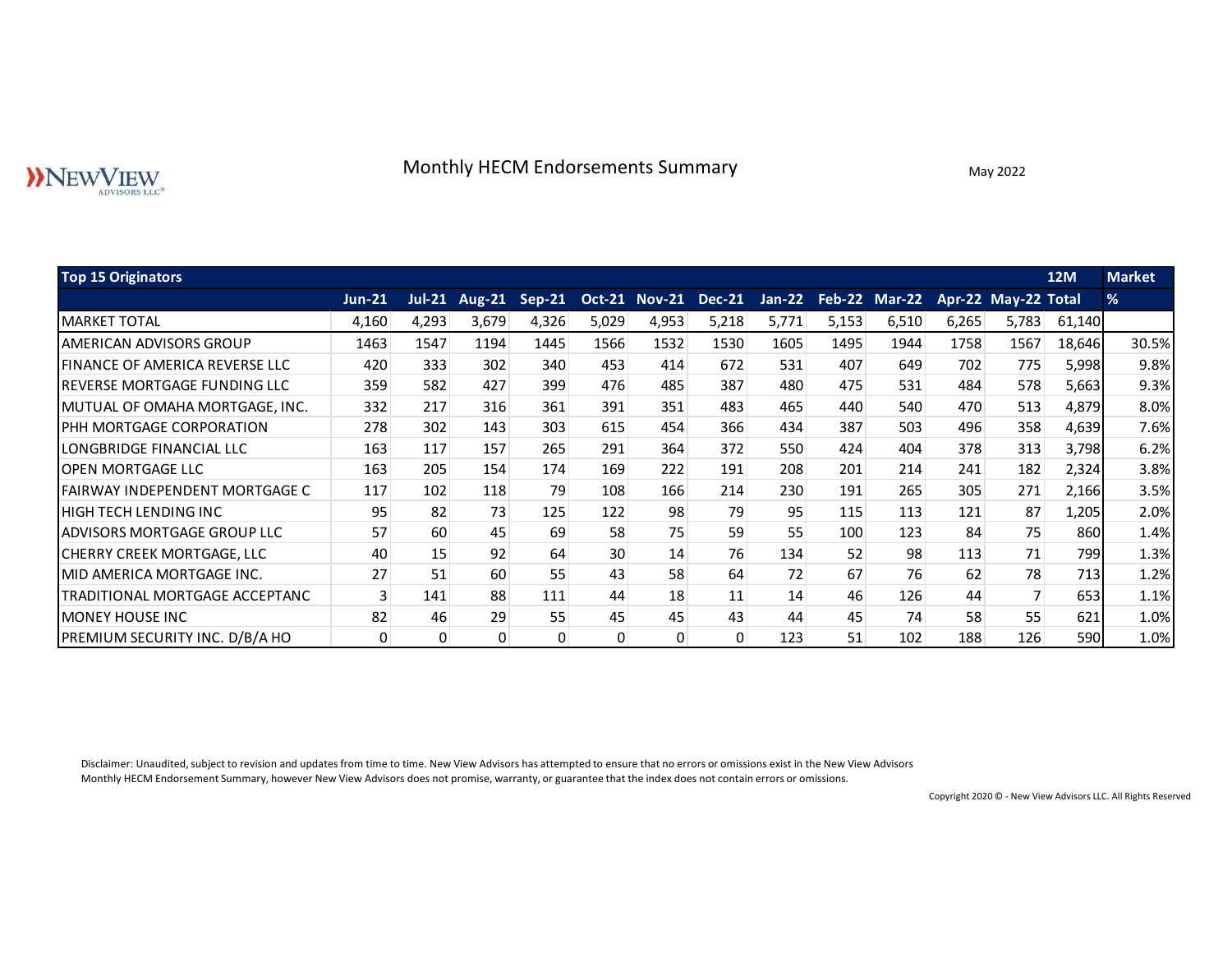# Monthly HECM Endorsements Summary May 2022

|                                                   |               |          |               |        |                      |       | Monthly HECM Endorsements Summary |          |                      |       |       | May 2022            |            |               |
|---------------------------------------------------|---------------|----------|---------------|--------|----------------------|-------|-----------------------------------|----------|----------------------|-------|-------|---------------------|------------|---------------|
| <b>Top 15 Originators</b>                         |               |          |               |        |                      |       |                                   |          |                      |       |       |                     | <b>12M</b> | <b>Market</b> |
|                                                   | <b>Jun-21</b> | $Jul-21$ | <b>Aug-21</b> | Sep-21 | <b>Oct-21 Nov-21</b> |       | <b>Dec-21</b>                     | $Jan-22$ | <b>Feb-22 Mar-22</b> |       |       | Apr-22 May-22 Total |            | $\%$          |
| <b>MARKET TOTAL</b>                               | 4,160         | 4,293    | 3,679         | 4,326  | 5,029                | 4,953 | 5,218                             | 5,771    | 5,153                | 6,510 | 6,265 | 5,783               | 61,140     |               |
| <b>AMERICAN ADVISORS GROUP</b>                    | 1463          | 1547     | 1194          | 1445   | 1566                 | 1532  | 1530                              | 1605     | 1495                 | 1944  | 1758  | 1567                | 18,646     | 30.5%         |
| <b>FINANCE OF AMERICA REVERSE LLC</b>             | 420           | 333      | 302           | 340    | 453                  | 414   | 672                               | 531      | 407                  | 649   | 702   | 775                 | 5,998      | 9.8%          |
| <b>REVERSE MORTGAGE FUNDING LLC</b>               | 359           | 582      | 427           | 399    | 476                  | 485   | 387                               | 480      | 475                  | 531   | 484   | 578                 | 5,663      | 9.3%          |
| MUTUAL OF OMAHA MORTGAGE, INC.                    | 332           | 217      | 316           | 361    | 391                  | 351   | 483                               | 465      | 440                  | 540   | 470   | 513                 | 4,879      | 8.0%          |
| PHH MORTGAGE CORPORATION                          | 278           | 302      | 143           | 303    | 615                  | 454   | 366                               | 434      | 387                  | 503   | 496   | 358                 | 4,639      | 7.6%          |
| LONGBRIDGE FINANCIAL LLC                          | 163           | 117      | 157           | 265    | 291                  | 364   | 372                               | 550      | 424                  | 404   | 378   | 313                 | 3,798      | 6.2%          |
| <b>OPEN MORTGAGE LLC</b>                          | 163           | 205      | 154           | 174    | 169                  | 222   | 191                               | 208      | 201                  | 214   | 241   | 182                 | 2,324      | 3.8%          |
| <b>FAIRWAY INDEPENDENT MORTGAGE C</b>             | 117           | 102      | 118           | 79     | 108                  | 166   | 214                               | 230      | 191                  | 265   | 305   | 271                 | 2,166      | 3.5%          |
| HIGH TECH LENDING INC                             | 95            | 82       | 73            | 125    | 122                  | 98    | 79                                | 95       | 115                  | 113   | 121   | 87                  | 1,205      | 2.0%          |
| <b>ADVISORS MORTGAGE GROUP LLC</b>                | 57            | 60       | 45            | 69     | 58                   | 75    | 59                                | 55       | 100                  | 123   | 84    | 75                  | 860        | 1.4%          |
| CHERRY CREEK MORTGAGE, LLC                        | 40            | 15       | 92            | 64     | 30 <sup>°</sup>      | 14    | 76                                | 134      | 52                   | 98    | 113   | 71                  | 799        | 1.3%          |
| MID AMERICA MORTGAGE INC.                         | 27            | 51       | 60            | 55     | 43                   | 58    | 64                                | 72       | 67                   | 76    | 62    | 78                  | 713        | 1.2%          |
| TRADITIONAL MORTGAGE ACCEPTANC                    | 3             | 141      | 88            | 111    | 44                   | 18    | 11                                | 14       | 46                   | 126   | 44    | 7                   | 653        | 1.1%          |
|                                                   | 82            | 46       | 29            | 55     | 45                   | 45    | 43                                | 44       | 45                   | 74    | 58    | 55                  | 621        | 1.0%          |
| MONEY HOUSE INC<br>PREMIUM SECURITY INC. D/B/A HO |               |          |               |        |                      |       |                                   |          |                      |       |       |                     |            |               |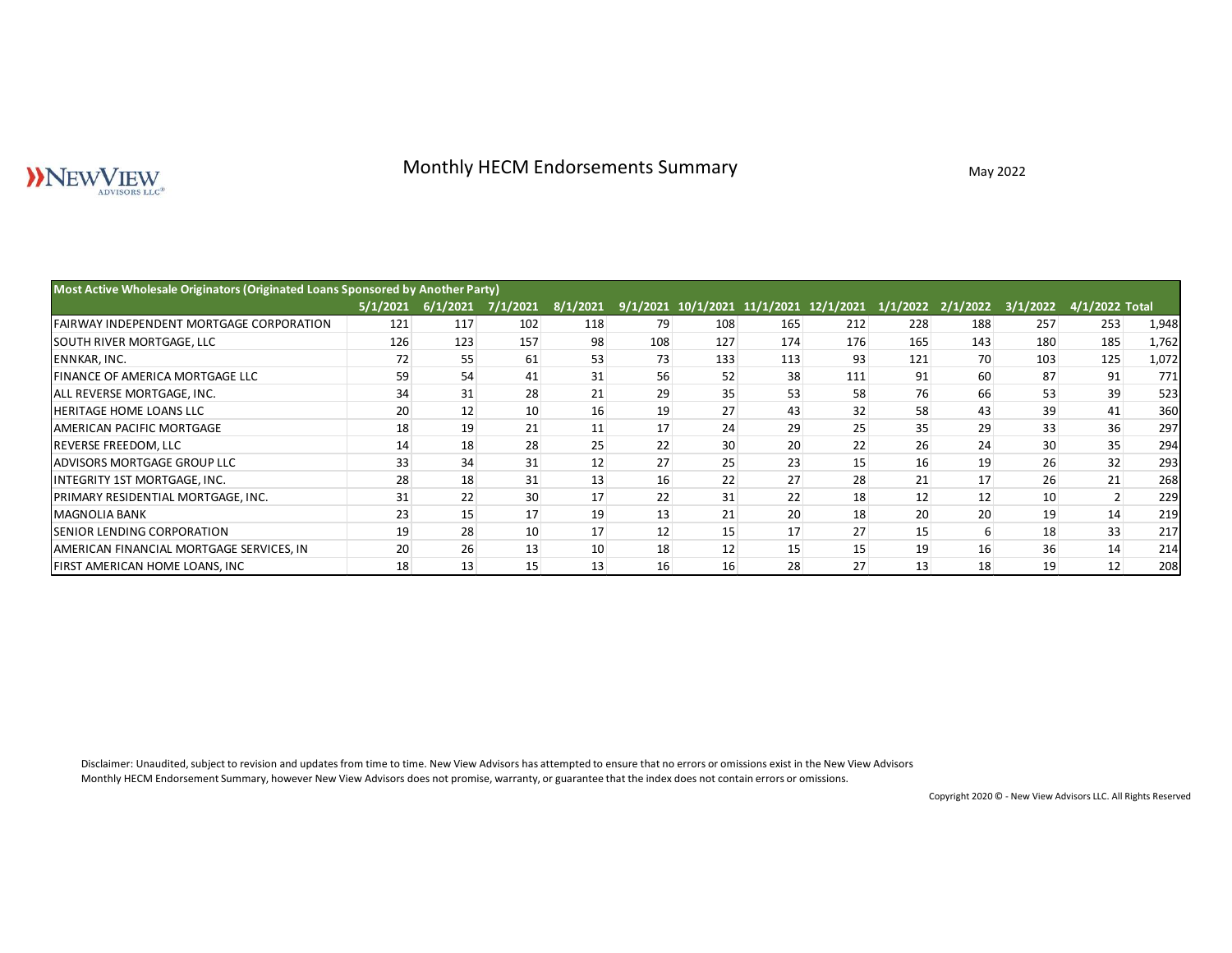# Monthly HECM Endorsements Summary May 2022<br>May 2022<br>May 2022

| NEWVIEW<br>ADVISORS LLC <sup>®</sup>                                            |                                     |     |     | Monthly HECM Endorsements Summary |                                                                                  |                 |     |     |     | May 2022 |                 |                |       |
|---------------------------------------------------------------------------------|-------------------------------------|-----|-----|-----------------------------------|----------------------------------------------------------------------------------|-----------------|-----|-----|-----|----------|-----------------|----------------|-------|
| Most Active Wholesale Originators (Originated Loans Sponsored by Another Party) |                                     |     |     |                                   |                                                                                  |                 |     |     |     |          |                 |                |       |
|                                                                                 | 5/1/2021 6/1/2021 7/1/2021 8/1/2021 |     |     |                                   | 9/1/2021 10/1/2021 11/1/2021 12/1/2021 1/1/2022 2/1/2022 3/1/2022 4/1/2022 Total |                 |     |     |     |          |                 |                |       |
| FAIRWAY INDEPENDENT MORTGAGE CORPORATION                                        | 121                                 | 117 | 102 | 118                               | 79                                                                               | 108             | 165 | 212 | 228 | 188      | 257             | 253            | 1,948 |
| SOUTH RIVER MORTGAGE, LLC                                                       | 126                                 | 123 | 157 | 98                                | 108                                                                              | 127             | 174 | 176 | 165 | 143      | 180             | 185            | 1,762 |
| ENNKAR, INC.                                                                    | 72                                  | 55  | 61  | 53                                | 73                                                                               | 133             | 113 | 93  | 121 | 70       | 103             | 125            | 1,072 |
| FINANCE OF AMERICA MORTGAGE LLC                                                 | 59                                  | 54  | 41  | 31                                | 56                                                                               | 52              | 38  | 111 | 91  | 60       | 87              | 91             | 771   |
| ALL REVERSE MORTGAGE, INC.                                                      | 34                                  | 31  | 28  | 21                                | 29                                                                               | 35              | 53  | 58  | 76  | 66       | 53              | 39             | 523   |
| HERITAGE HOME LOANS LLC                                                         | 20                                  | 12  | 10  | 16                                | 19                                                                               | 27              | 43  | 32  | 58  | 43       | 39              | 41             | 360   |
| AMERICAN PACIFIC MORTGAGE                                                       | 18                                  | 19  | 21  | 11                                | 17                                                                               | 24              | 29  | 25  | 35  | 29       | 33              | 36             | 297   |
| REVERSE FREEDOM, LLC                                                            | 14                                  | 18  | 28  | 25                                | 22                                                                               | 30 <sup>°</sup> | 20  | 22  | 26  | 24       | 30 <sup>°</sup> | 35             | 294   |
| ADVISORS MORTGAGE GROUP LLC                                                     | 33                                  | 34  | 31  | 12                                | 27                                                                               | 25              | 23  | 15  | 16  | 19       | 26              | 32             | 293   |
| INTEGRITY 1ST MORTGAGE, INC.                                                    | 28                                  | 18  | 31  | 13                                | 16                                                                               | 22              | 27  | 28  | 21  | 17       | 26              | 21             | 268   |
| PRIMARY RESIDENTIAL MORTGAGE, INC.                                              | 31                                  | 22  | 30  | 17                                | 22                                                                               | 31              | 22  | 18  | 12  | 12       | 10              | $\overline{2}$ | 229   |
| <b>MAGNOLIA BANK</b>                                                            | 23                                  | 15  | 17  | 19                                | 13                                                                               | 21              | 20  | 18  | 20  | 20       | 19              | 14             | 219   |
| SENIOR LENDING CORPORATION                                                      | 19                                  | 28  | 10  | 17                                | 12                                                                               | 15              | 17  | 27  | 15  | 6        | 18              | 33             | 217   |
| AMERICAN FINANCIAL MORTGAGE SERVICES, IN                                        | 20                                  | 26  | 13  | 10 <sup>°</sup>                   | 18                                                                               | 12              | 15  | 15  | 19  | 16       | 36              | 14             | 214   |
| FIRST AMERICAN HOME LOANS, INC                                                  | 18                                  | 13  | 15  | 13                                | 16                                                                               | 16              | 28  | 27  | 13  | 18       | 19              | 12             | 208   |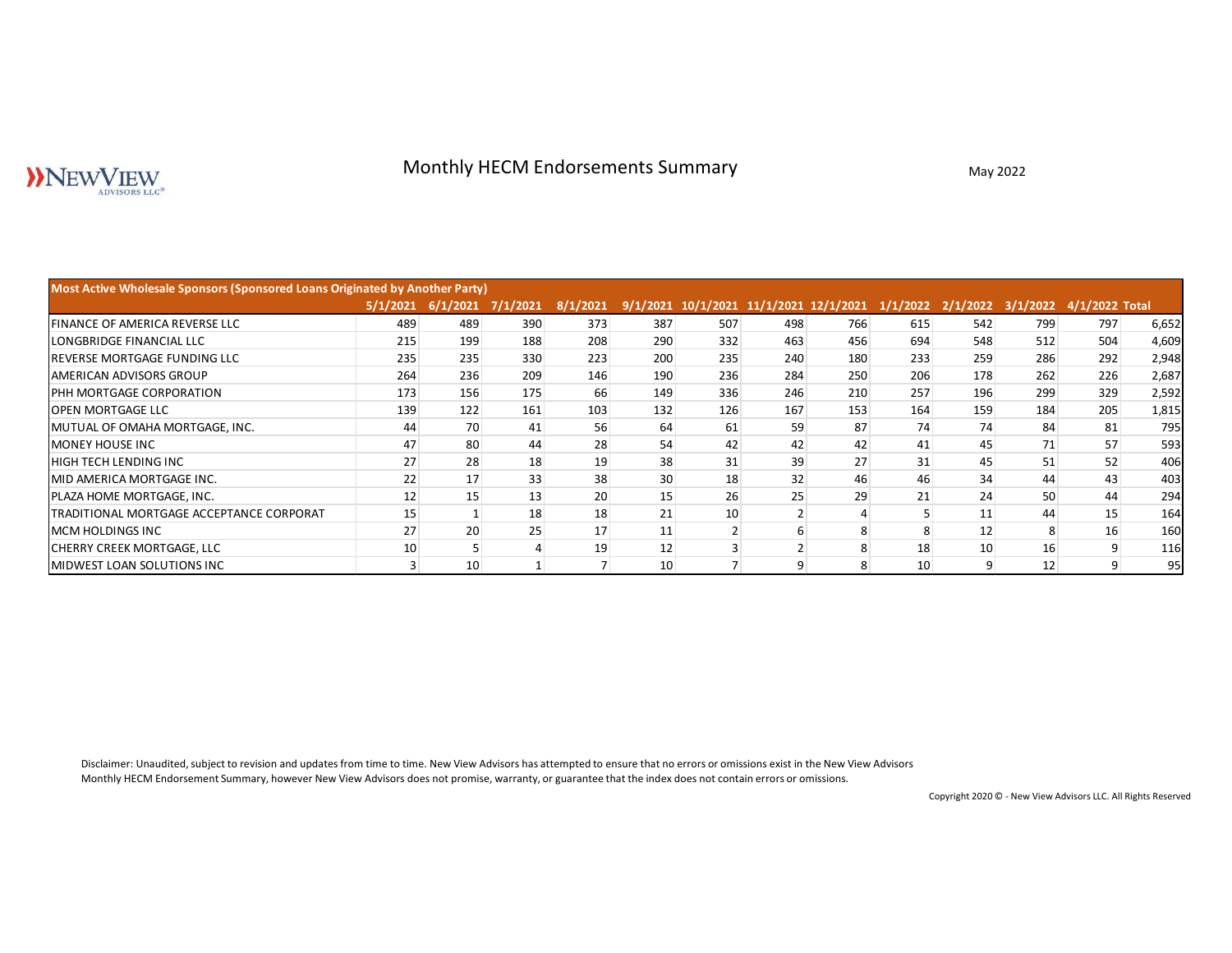# Monthly HECM Endorsements Summary May 2022

| <b>NEWVIEW</b><br>ADVISORS LLC®                                              |                                     |                 |                |                | Monthly HECM Endorsements Summary      |                |                |     |                 | May 2022                                  |     |     |       |
|------------------------------------------------------------------------------|-------------------------------------|-----------------|----------------|----------------|----------------------------------------|----------------|----------------|-----|-----------------|-------------------------------------------|-----|-----|-------|
| Most Active Wholesale Sponsors (Sponsored Loans Originated by Another Party) |                                     |                 |                |                |                                        |                |                |     |                 |                                           |     |     |       |
|                                                                              | 5/1/2021 6/1/2021 7/1/2021 8/1/2021 |                 |                |                | 9/1/2021 10/1/2021 11/1/2021 12/1/2021 |                |                |     |                 | 1/1/2022 2/1/2022 3/1/2022 4/1/2022 Total |     |     |       |
| FINANCE OF AMERICA REVERSE LLC                                               | 489                                 | 489             | 390            | 373            | 387                                    | 507            | 498            | 766 | 615             | 542                                       | 799 | 797 | 6,652 |
| LONGBRIDGE FINANCIAL LLC                                                     | 215                                 | 199             | 188            | 208            | 290                                    | 332            | 463            | 456 | 694             | 548                                       | 512 | 504 | 4,609 |
| REVERSE MORTGAGE FUNDING LLC                                                 | 235                                 | 235             | 330            | 223            | 200                                    | 235            | 240            | 180 | 233             | 259                                       | 286 | 292 | 2,948 |
| AMERICAN ADVISORS GROUP                                                      | 264                                 | 236             | 209            | 146            | 190                                    | 236            | 284            | 250 | 206             | 178                                       | 262 | 226 | 2,687 |
| PHH MORTGAGE CORPORATION                                                     | 173                                 | 156             | 175            | 66             | 149                                    | 336            | 246            | 210 | 257             | 196                                       | 299 | 329 | 2,592 |
| <b>OPEN MORTGAGE LLC</b>                                                     | 139                                 | 122             | 161            | 103            | 132                                    | 126            | 167            | 153 | 164             | 159                                       | 184 | 205 | 1,815 |
| MUTUAL OF OMAHA MORTGAGE, INC.                                               | 44                                  | 70              | 41             | 56             | 64                                     | 61             | 59             | 87  | 74              | 74                                        | 84  | 81  | 795   |
| MONEY HOUSE INC                                                              | 47                                  | 80              | 44             | 28             | 54                                     | 42             | 42             | 42  | 41              | 45                                        | 71  | 57  | 593   |
| HIGH TECH LENDING INC                                                        | 27                                  | 28              | 18             | 19             | 38                                     | 31             | 39             | 27  | 31              | 45                                        | 51  | 52  | 406   |
| MID AMERICA MORTGAGE INC.                                                    | 22                                  | 17              | 33             | 38             | 30 <sub>2</sub>                        | 18             | 32             | 46  | 46              | 34                                        | 44  | 43  | 403   |
| PLAZA HOME MORTGAGE, INC.                                                    | 12                                  | 15              | 13             | 20             | 15                                     | 26             | 25             | 29  | 21              | 24                                        | 50  | 44  | 294   |
| TRADITIONAL MORTGAGE ACCEPTANCE CORPORAT                                     | 15                                  | $\vert 1 \vert$ | 18             | 18             | 21                                     | 10             | $\overline{2}$ | 4   | 5 <sup>5</sup>  | 11                                        | 44  | 15  | 164   |
| MCM HOLDINGS INC                                                             | 27                                  | 20              | 25             | 17             | 11                                     | $\overline{2}$ | $6 \mid$       | 8   | 8 <sup>°</sup>  | 12                                        | 8   | 16  | 160   |
| CHERRY CREEK MORTGAGE, LLC                                                   | $10\,$                              | 5 <sup>5</sup>  | $\overline{4}$ | 19             | 12                                     | $\overline{3}$ | $\overline{2}$ | 8   | 18              | 10 <sup>1</sup>                           | 16  | 9   | 116   |
| MIDWEST LOAN SOLUTIONS INC                                                   | $\overline{3}$                      | 10              | 1              | $\overline{7}$ | 10 <sup>°</sup>                        | $\overline{7}$ | 9              | 8   | 10 <sup>°</sup> | 9                                         | 12  | 9   | 95    |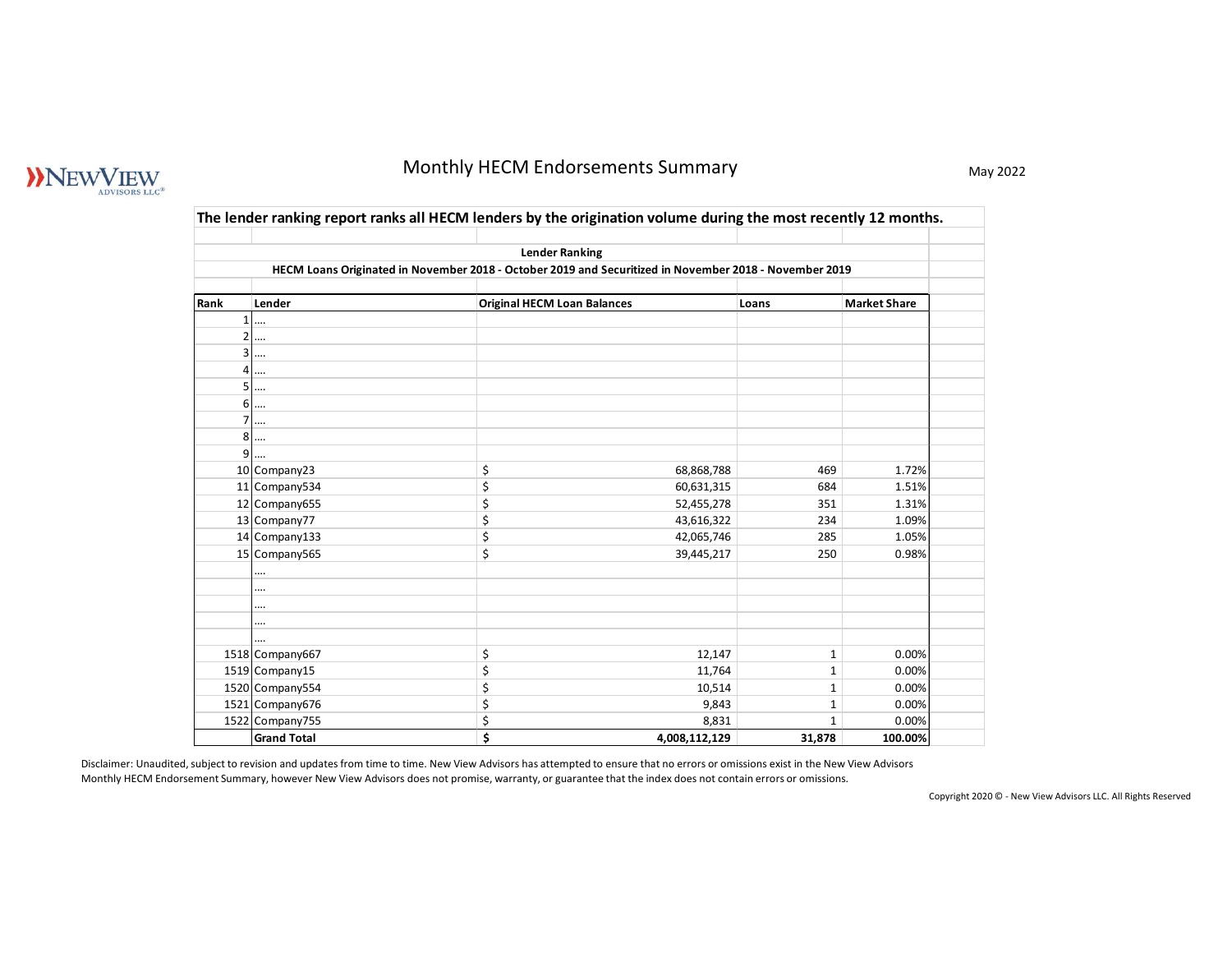# WEWVIEW

# Monthly HECM Endorsements Summary May 2022

|                     |                                       | Monthly HECM Endorsements Summary                                                                              |                          |                              |                     |
|---------------------|---------------------------------------|----------------------------------------------------------------------------------------------------------------|--------------------------|------------------------------|---------------------|
|                     |                                       |                                                                                                                |                          |                              |                     |
|                     |                                       | The lender ranking report ranks all HECM lenders by the origination volume during the most recently 12 months. |                          |                              |                     |
|                     |                                       | <b>Lender Ranking</b>                                                                                          |                          |                              |                     |
|                     |                                       | HECM Loans Originated in November 2018 - October 2019 and Securitized in November 2018 - November 2019         |                          |                              |                     |
| Rank                | Lender                                | <b>Original HECM Loan Balances</b>                                                                             |                          | Loans                        | <b>Market Share</b> |
| $1\vert$            | $\cdots$                              |                                                                                                                |                          |                              |                     |
| $\overline{2}$      |                                       |                                                                                                                |                          |                              |                     |
| 3<br>$\overline{4}$ |                                       |                                                                                                                |                          |                              |                     |
| 5                   | <br>                                  |                                                                                                                |                          |                              |                     |
|                     | 6                                     |                                                                                                                |                          |                              |                     |
| $\overline{7}$      |                                       |                                                                                                                |                          |                              |                     |
| 8 <sup>1</sup><br>9 | $\cdots$<br>                          |                                                                                                                |                          |                              |                     |
|                     | 10 Company23                          | \$                                                                                                             | 68,868,788               | 469                          | 1.72%               |
|                     | 11 Company534                         | \$                                                                                                             | 60,631,315               | 684                          | 1.51%               |
|                     | 12 Company655<br>13 Company77         | \$<br>\$                                                                                                       | 52,455,278<br>43,616,322 | 351<br>234                   | 1.31%<br>1.09%      |
|                     | 14 Company133                         | \$                                                                                                             | 42,065,746               | 285                          | 1.05%               |
|                     | 15 Company565                         | \$                                                                                                             | 39,445,217               | 250                          | 0.98%               |
|                     |                                       |                                                                                                                |                          |                              |                     |
|                     |                                       |                                                                                                                |                          |                              |                     |
|                     |                                       |                                                                                                                |                          |                              |                     |
|                     | 1518 Company667                       | \$                                                                                                             | 12,147                   | $\mathbf{1}$                 | 0.00%               |
|                     | 1519 Company15                        | \$                                                                                                             | 11,764                   | $\mathbf{1}$                 | 0.00%               |
|                     | 1520 Company554                       | \$                                                                                                             | 10,514                   | $\mathbf{1}$                 | 0.00%               |
|                     | 1521 Company676                       | \$<br>\$                                                                                                       | 9,843<br>8,831           | $\mathbf{1}$<br>$\mathbf{1}$ | 0.00%<br>0.00%      |
|                     | 1522 Company755<br><b>Grand Total</b> | \$                                                                                                             | 4,008,112,129            | 31,878                       | 100.00%             |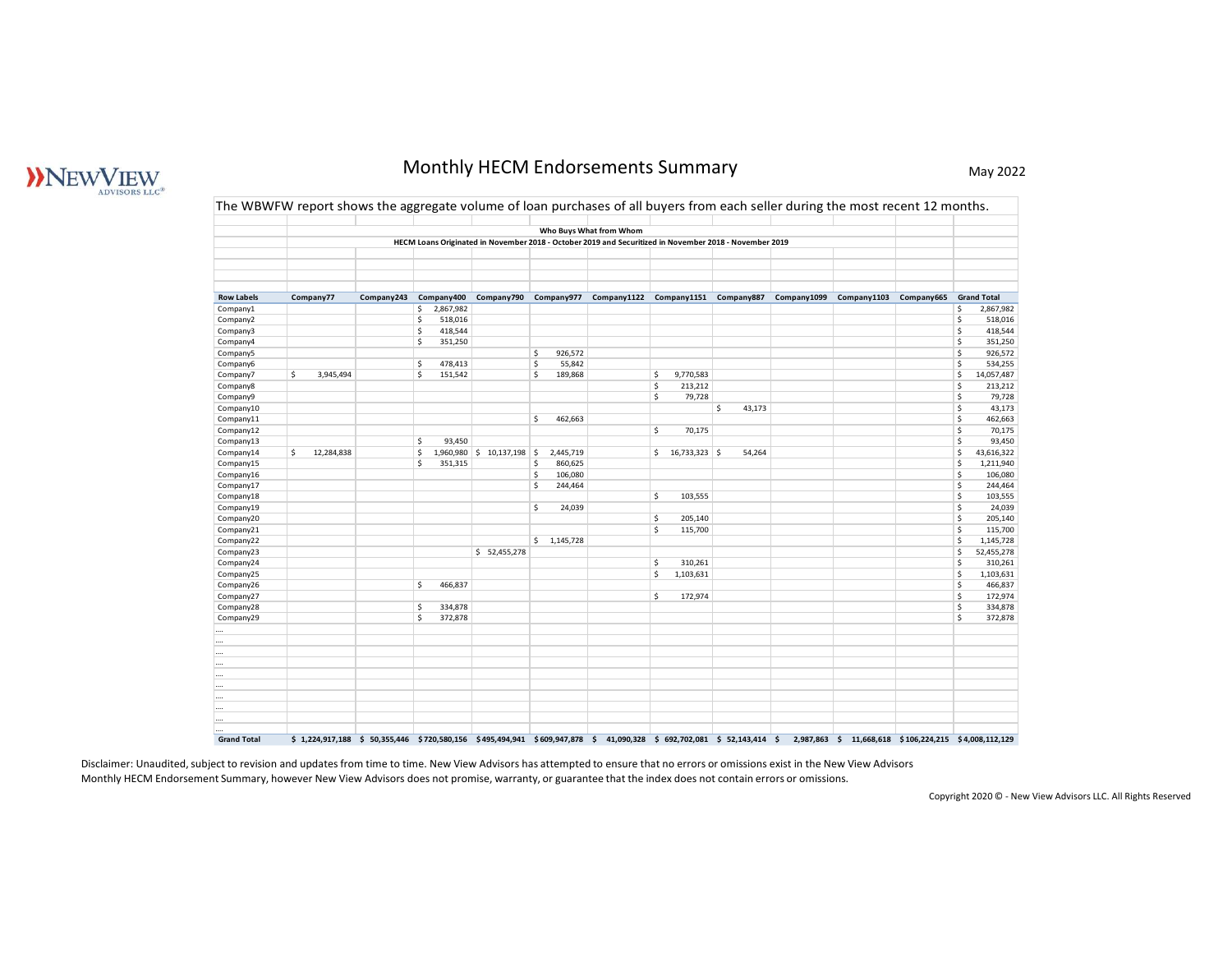# WNEW JEW

# Monthly HECM Endorsements Summary May 2022

|                        |                  |                                                       |                                  | Monthly HECM Endorsements Summary                                                                                                                                                |              |  | May 2022                                      |
|------------------------|------------------|-------------------------------------------------------|----------------------------------|----------------------------------------------------------------------------------------------------------------------------------------------------------------------------------|--------------|--|-----------------------------------------------|
|                        |                  |                                                       |                                  |                                                                                                                                                                                  |              |  |                                               |
|                        |                  |                                                       |                                  | The WBWFW report shows the aggregate volume of loan purchases of all buyers from each seller during the most recent 12 months.                                                   |              |  |                                               |
|                        |                  |                                                       |                                  |                                                                                                                                                                                  |              |  |                                               |
|                        |                  |                                                       |                                  | Who Buys What from Whom<br>HECM Loans Originated in November 2018 - October 2019 and Securitized in November 2018 - November 2019                                                |              |  |                                               |
|                        |                  |                                                       |                                  |                                                                                                                                                                                  |              |  |                                               |
|                        |                  |                                                       |                                  |                                                                                                                                                                                  |              |  |                                               |
|                        |                  |                                                       |                                  |                                                                                                                                                                                  |              |  |                                               |
| <b>Row Labels</b>      | Company77        |                                                       |                                  | Company243 Company400 Company790 Company977 Company1122 Company1151 Company887 Company1099 Company1103 Company665 Grand Total                                                    |              |  |                                               |
| Company1<br>Company2   |                  | \$2,867,982<br>518,016<br>S.                          |                                  |                                                                                                                                                                                  |              |  | \$<br>2,867,982<br>518,016<br>\$.             |
| Company3               |                  | 418,544<br>S.                                         |                                  |                                                                                                                                                                                  |              |  | \$<br>418,544                                 |
| Company4               |                  | 351,250<br>S.                                         | \$                               |                                                                                                                                                                                  |              |  | \$<br>351,250<br>\$                           |
| Company5<br>Company6   |                  | S.<br>478,413                                         | 926,572<br>55,842<br>\$          |                                                                                                                                                                                  |              |  | 926,572<br>\$<br>534,255                      |
| Company7               | S.<br>3,945,494  | 151,542<br>$\mathsf{S}$                               | \$<br>189,868                    | 9,770,583<br>\$                                                                                                                                                                  |              |  | \$<br>14,057,487                              |
| Company8<br>Company9   |                  |                                                       |                                  | 213,212<br>\$<br>79,728<br>\$                                                                                                                                                    |              |  | 213,212<br>\$<br>79,728<br>-\$                |
| Company10              |                  |                                                       |                                  |                                                                                                                                                                                  | 43,173<br>\$ |  | \$<br>43,173                                  |
| Company11              |                  |                                                       | \$ 462,663                       |                                                                                                                                                                                  |              |  | \$<br>462,663                                 |
| Company12<br>Company13 |                  | \$<br>93,450                                          |                                  | \$<br>70,175                                                                                                                                                                     |              |  | \$<br>70,175<br>\$<br>93,450                  |
| Company14              | S.<br>12,284,838 | $\vert$ \$ 1,960,980 \, \$ 10,137,198 \, \$ 2,445,719 |                                  | \$16,733,323                                                                                                                                                                     | 54,264       |  | \$<br>43,616,322                              |
| Company15              |                  | 351,315<br>S.                                         | 860,625<br>\$                    |                                                                                                                                                                                  |              |  | \$<br>1,211,940                               |
| Company16<br>Company17 |                  |                                                       | S.<br>106,080<br>∣\$.<br>244,464 |                                                                                                                                                                                  |              |  | \$<br>106,080<br>\$<br>244,464                |
| Company18              |                  |                                                       |                                  | 103,555<br>\$                                                                                                                                                                    |              |  | \$<br>103,555                                 |
| Company19              |                  |                                                       | $\frac{1}{2}$<br>24,039          |                                                                                                                                                                                  |              |  | \$<br>24,039                                  |
| Company20<br>Company21 |                  |                                                       |                                  | \$<br>205,140<br>\$<br>115,700                                                                                                                                                   |              |  | \$.<br>205,140<br>\$.<br>115,700              |
| Company22              |                  |                                                       | \$1,145,728                      |                                                                                                                                                                                  |              |  | $\frac{1}{2}$<br>1,145,728                    |
| Company23<br>Company24 |                  | \$52,455,278                                          |                                  | \$<br>310,261                                                                                                                                                                    |              |  | $\frac{1}{2}$<br>52,455,278<br>l\$<br>310,261 |
| Company25              |                  |                                                       |                                  | 1,103,631<br>\$                                                                                                                                                                  |              |  | 1,103,631<br>\$                               |
| Company26              |                  | \$ 466,837                                            |                                  |                                                                                                                                                                                  |              |  | \$<br>466,837                                 |
| Company27<br>Company28 |                  | 334,878<br>S.                                         |                                  | 172,974<br>\$                                                                                                                                                                    |              |  | 172,974<br>\$<br>$\frac{1}{2}$<br>334,878     |
| Company29              |                  | \$372,878                                             |                                  |                                                                                                                                                                                  |              |  | $\sim$<br>372,878                             |
|                        |                  |                                                       |                                  |                                                                                                                                                                                  |              |  |                                               |
| $\cdots$<br>$\cdots$   |                  |                                                       |                                  |                                                                                                                                                                                  |              |  |                                               |
| $\cdots$               |                  |                                                       |                                  |                                                                                                                                                                                  |              |  |                                               |
|                        |                  |                                                       |                                  |                                                                                                                                                                                  |              |  |                                               |
|                        |                  |                                                       |                                  |                                                                                                                                                                                  |              |  |                                               |
| $\cdots$               |                  |                                                       |                                  |                                                                                                                                                                                  |              |  |                                               |
| $\cdots$               |                  |                                                       |                                  |                                                                                                                                                                                  |              |  |                                               |
|                        |                  |                                                       |                                  | $$1,224,917,188$ $$50,355,446$ $$720,580,156$ $$495,494,941$ $$609,947,878$ $$41,090,328$ $$692,702,081$ $$52,143,414$ $$2,987,863$ $$1,668,618$ $$106,224,215$ $$4,008,112,129$ |              |  |                                               |